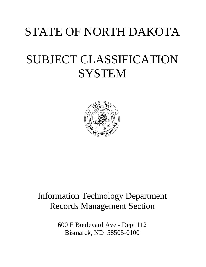# STATE OF NORTH DAKOTA

# SUBJECT CLASSIFICATION **SYSTEM**



# Information Technology Department Records Management Section

600 E Boulevard Ave - Dept 112 Bismarck, ND 58505-0100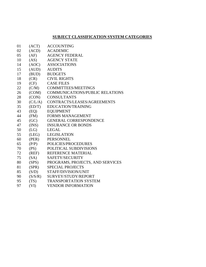## **SUBJECT CLASSIFICATION SYSTEM CATEGORIES**

- (ACT) ACCOUNTING
- (ACD) ACADEMIC
- (AF) AGENCY FEDERAL
- (AS) AGENCY STATE
- (AOC) ASSOCIATIONS
- (AUD) AUDITS
- (BUD) BUDGETS
- (CR) CIVIL RIGHTS
- (CF) CASE FILES
- (C/M) COMMITTEES/MEETINGS
- (COM) COMMUNICATIONS/PUBLIC RELATIONS
- (CON) CONSULTANTS
- (C/L/A) CONTRACTS/LEASES/AGREEMENTS
- (ED/T) EDUCATION/TRAINING
- (EQ) EQUIPMENT
- (FM) FORMS MANAGEMENT
- (GC) GENERAL CORRESPONDENCE
- (INS) INSURANCE OR BONDS
- (LG) LEGAL
- (LEG) LEGISLATION
- (PER) PERSONNEL
- (P/P) POLICIES/PROCEDURES
- (PS) POLITICAL SUBDIVISIONS
- (REF) REFERENCE MATERIAL
- (SA) SAFETY/SECURITY
- (SPS) PROGRAMS, PROJECTS, AND SERVICES
- (SPR) SPECIAL PROJECTS
- (S/D) STAFF/DIVISION/UNIT
- (S/S/R) SURVEY/STUDY/REPORT
- (TS) TRANSPORTATION SYSTEM
- (VI) VENDOR INFORMATION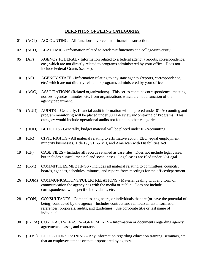# **DEFINITION OF FILING CATEGORIES**

- 01 (ACT) ACCOUNTING All functions involved in a financial transaction.
- 02 (ACD) ACADEMIC Information related to academic functions at a college/university.
- 05 (AF) AGENCY FEDERAL Information related to a federal agency (reports, correspondence, etc.) which are not directly related to programs administered by your office. Does not include Federal Grants (see 80).
- 10 (AS) AGENCY STATE Information relating to any state agency (reports, correspondence, etc.) which are not directly related to programs administered by your office.
- 14 (AOC) ASSOCIATIONS (Related organizations) This series contains correspondence, meeting notices, agendas, minutes, etc. from organizations which are not a function of the agency/department.
- 15 (AUD) AUDITS Generally, financial audit information will be placed under 01-Accounting and program monitoring will be placed under 80 11-Reviews/Monitoring of Programs. This category would include operational audits not found in other categories.
- 17 (BUD) BUDGETS Generally, budget material will be placed under 01-Accounting.
- 18 (CR) CIVIL RIGHTS All material relating to affirmative action, EEO, equal employment, minority businesses, Title IV, VI, & VII, and American with Disabilities Act.
- 19 (CF) CASE FILES Includes all records retained as case files. Does not include legal cases, but includes clinical, medical and social cases. Legal cases are filed under 50-Legal.
- 22 (C/M) COMMITTEES/MEETINGS Includes all material relating to committees, councils, boards, agendas, schedules, minutes, and reports from meetings for the office/department.
- 26 (COM) COMMUNICATIONS/PUBLIC RELATIONS Material dealing with any form of communication the agency has with the media or public. Does not include correspondence with specific individuals, etc.
- 28 (CON) CONSULTANTS Companies, engineers, or individuals that are (or have the potential of being) contracted by the agency. Includes contract and reimbursement information, references, proposals, audits, and guidelines. Use corporate title or last name of individual.
- 30 (C/L/A) CONTRACTS/LEASES/AGREEMENTS Information or documents regarding agency agreements, leases, and contracts.
- 35 (ED/T) EDUCATION/TRAINING Any information regarding education training, seminars, etc., that an employee attends or that is sponsored by agency.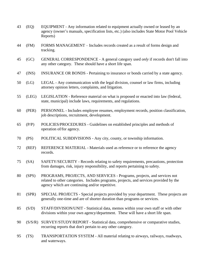| 43 | (EQ)    | EQUIPMENT - Any information related to equipment actually owned or leased by an<br>agency (owner's manuals, specification lists, etc.) (also includes State Motor Pool Vehicle<br>Reports)                          |
|----|---------|---------------------------------------------------------------------------------------------------------------------------------------------------------------------------------------------------------------------|
| 44 | (FM)    | FORMS MANAGEMENT – Includes records created as a result of forms design and<br>tracking.                                                                                                                            |
| 45 | (GC)    | GENERAL CORRESPONDENCE - A general category used <i>only</i> if records don't fall into<br>any other category. These should have a short life span.                                                                 |
| 47 | (INS)   | INSURANCE OR BONDS - Pertaining to insurance or bonds carried by a state agency.                                                                                                                                    |
| 50 | (LG)    | LEGAL - Any communication with the legal division, counsel or law firms, including<br>attorney opinion letters, complaints, and litigation.                                                                         |
| 55 | (LEG)   | LEGISLATION - Reference material on what is proposed or enacted into law (federal,<br>state, municipal) include laws, requirements, and regulations.                                                                |
| 60 | (PER)   | PERSONNEL - Includes employee resumes, employment records, position classification,<br>job descriptions, recruitment, development.                                                                                  |
| 65 | (P/P)   | POLICIES/PROCEDURES - Guidelines on established principles and methods of<br>operation of/for agency.                                                                                                               |
| 70 | (PS)    | POLITICAL SUBDIVISIONS - Any city, county, or township information.                                                                                                                                                 |
| 72 | (REF)   | REFERENCE MATERIAL - Materials used as reference or to reference the agency<br>records.                                                                                                                             |
| 75 | (SA)    | SAFETY/SECURITY - Records relating to safety requirements, precautions, protection<br>from damages, risk, injury responsibility, and reports pertaining to safety.                                                  |
| 80 | (SPS)   | PROGRAMS, PROJECTS, AND SERVICES - Programs, projects, and services not<br>related to other categories. Includes programs, projects, and services provided by the<br>agency which are continuing and/or repetitive. |
| 81 | (SPR)   | SPECIAL PROJECTS - Special projects provided by your department. These projects are<br>generally one-time and are of shorter duration than programs or services.                                                    |
| 85 | (S/D)   | STAFF/DIVISION/UNIT - Statistical data, memos within your own staff or with other<br>divisions within your own agency/department. These will have a short life span.                                                |
| 90 | (S/S/R) | SURVEY/STUDY/REPORT - Statistical data, comprehensive or comparative studies,<br>recurring reports that don't pertain to any other category.                                                                        |
| 95 | (TS)    | TRANSPORTATION SYSTEM - All material relating to airways, railways, roadways,<br>and waterways.                                                                                                                     |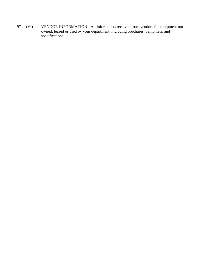97 (VI) VENDOR INFORMATION - All information received from vendors for equipment not owned, leased or used by your department, including brochures, pamphlets, and specifications.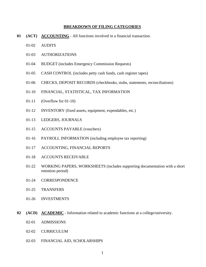#### **BREAKDOWN OF FILING CATEGORIES**

- **01 (ACT) ACCOUNTING** All functions involved in a financial transaction.
	- 01-02 AUDITS
	- 01-03 AUTHORIZATIONS
	- 01-04 BUDGET (includes Emergency Commission Requests)
	- 01-05 CASH CONTROL (includes petty cash funds, cash register tapes)
	- 01-06 CHECKS, DEPOSIT RECORDS (checkbooks, stubs, statements, reconciliations)
	- 01-10 FINANCIAL, STATISTICAL, TAX INFORMATION
	- 01-11 (Overflow for 01-10)
	- 01-12 INVENTORY (fixed assets, equipment, expendables, etc.)
	- 01-13 LEDGERS, JOURNALS
	- 01-15 ACCOUNTS PAYABLE (vouchers)
	- 01-16 PAYROLL INFORMATION (including employee tax reporting)
	- 01-17 ACCOUNTING, FINANCIAL REPORTS
	- 01-18 ACCOUNTS RECEIVABLE
	- 01-22 WORKING PAPERS, WORKSHEETS (includes supporting documentation with a short retention period)
	- 01-24 CORRESPONDENCE
	- 01-25 TRANSFERS
	- 01-26 INVESTMENTS
- **02 (ACD) ACADEMIC** Information related to academic functions at a college/university.
	- 02-01 ADMISSIONS
	- 02-02 CURRICULUM
	- 02-03 FINANCIAL AID, SCHOLARSHIPS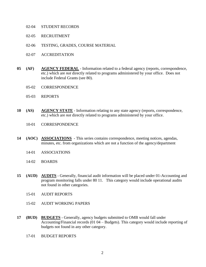- 02-04 STUDENT RECORDS
- 02-05 RECRUITMENT
- 02-06 TESTING, GRADES, COURSE MATERIAL
- 02-07 ACCREDITATION
- **05 (AF) AGENCY FEDERAL** Information related to a federal agency (reports, correspondence, etc.) which are *not* directly related to programs administered by your office. Does not include Federal Grants (see 80).
	- 05-02 CORRESPONDENCE
	- 05-03 REPORTS
- **10 (AS) AGENCY STATE** Information relating to any state agency (reports, correspondence, etc.) which are *not* directly related to programs administered by your office.
	- 10-01 CORRESPONDENCE
- **14 (AOC) ASSOCIATIONS** This series contains correspondence, meeting notices, agendas, minutes, etc. from organizations which are not a function of the agency/department
	- 14-01 ASSOCIATIONS
	- 14-02 BOARDS
- **15 (AUD) AUDITS** Generally, financial audit information will be placed under 01-Accounting and program monitoring falls under 80 11. This category would include operational audits not found in other categories.
	- 15-01 AUDIT REPORTS
	- 15-02 AUDIT WORKING PAPERS
- **17 (BUD) BUDGETS** Generally, agency budgets submitted to OMB would fall under Accounting/Financial records (01 04 – Budgets). This category would include reporting of budgets not found in any other category.
	- 17-01 BUDGET REPORTS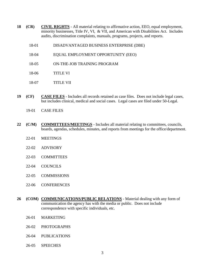- **18 (CR) CIVIL RIGHTS** All material relating to affirmative action, EEO, equal employment, minority businesses, Title IV, VI, & VII, and American with Disabilities Act. Includes audits, discrimination complaints, manuals, programs, projects, and reports.
	- 18-01 DISADVANTAGED BUSINESS ENTERPRISE (DBE)
	- 18-04 EQUAL EMPLOYMENT OPPORTUNITY (EEO)
	- 18-05 ON-THE-JOB TRAINING PROGRAM
	- 18-06 TITLE VI
	- 18-07 TITLE VII
- **19 (CF) CASE FILES** Includes all records retained as case files. Does not include legal cases, but includes clinical, medical and social cases. Legal cases are filed under 50-Legal.
	- 19-01 CASE FILES
- **22 (C/M) COMMITTEES/MEETINGS** Includes all material relating to committees, councils, boards, agendas, schedules, minutes, and reports from meetings for the office/department.
	- 22-01 MEETINGS
	- 22-02 ADVISORY
	- 22-03 COMMITTEES
	- 22-04 COUNCILS
	- 22-05 COMMISSIONS
	- 22-06 CONFERENCES
- **26 (COM) COMMUNICATIONS/PUBLIC RELATIONS** Material dealing with any form of communication the agency has with the media or public. Does not include correspondence with specific individuals, etc.
	- 26-01 MARKETING
	- 26-02 PHOTOGRAPHS
	- 26-04 PUBLICATIONS
	- 26-05 SPEECHES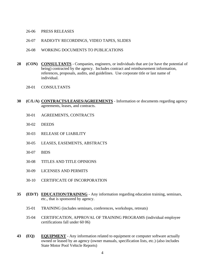### 26-06 PRESS RELEASES

- 26-07 RADIO/TV RECORDINGS, VIDEO TAPES, SLIDES
- 26-08 WORKING DOCUMENTS TO PUBLICATIONS
- **28 (CON) CONSULTANTS** Companies, engineers, or individuals that are (or have the potential of being) contracted by the agency. Includes contract and reimbursement information, references, proposals, audits, and guidelines. Use corporate title or last name of individual.
	- 28-01 CONSULTANTS
- **30 (C/L/A) CONTRACTS/LEASES/AGREEMENTS** Information or documents regarding agency agreements, leases, and contracts.
	- 30-01 AGREEMENTS, CONTRACTS
	- 30-02 DEEDS
	- 30-03 RELEASE OF LIABILITY
	- 30-05 LEASES, EASEMENTS, ABSTRACTS
	- 30-07 BIDS
	- 30-08 TITLES AND TITLE OPINIONS
	- 30-09 LICENSES AND PERMITS
	- 30-10 CERTIFICATE OF INCORPORATION
- **35 (ED/T) EDUCATION/TRAINING** Any information regarding education training, seminars, etc., that is sponsored by agency.
	- 35-01 TRAINING (includes seminars, conferences, workshops, retreats)
	- 35-04 CERTIFICATION, APPROVAL OF TRAINING PROGRAMS (individual employee certifications fall under 60 06)
- **43 (EQ) EQUIPMENT** Any information related to equipment or computer software actually owned or leased by an agency (owner manuals, specification lists, etc.) (also includes State Motor Pool Vehicle Reports)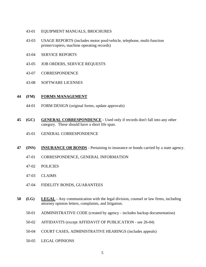- 43-01 EQUIPMENT MANUALS, BROCHURES
- 43-03 USAGE REPORTS (includes motor pool/vehicle, telephone, multi-function printer/copiers, machine operating records)
- 43-04 SERVICE REPORTS
- 43-05 JOB ORDERS, SERVICE REQUESTS
- 43-07 CORRESPONDENCE
- 43-08 SOFTWARE LICENSES

### **44 (FM) FORMS MANAGEMENT**

- 44-01 FORM DESIGN (original forms, update approvals)
- **45 (GC) GENERAL CORRESPONDENCE** Used only if records don't fall into any other category. These should have a short life span.
	- 45-01 GENERAL CORRESPONDENCE
- **47 (INS) INSURANCE OR BONDS** Pertaining to insurance or bonds carried by a state agency.
	- 47-01 CORRESPONDENCE, GENERAL INFORMATION
	- 47-02 POLICIES
	- 47-03 CLAIMS
	- 47-04 FIDELITY BONDS, GUARANTEES
- **50 (LG) LEGAL** Any communication with the legal division, counsel or law firms, including attorney opinion letters, complaints, and litigation.
	- 50-01 ADMINISTRATIVE CODE (created by agency includes backup documentation)
	- 50-02 AFFIDAVITS (except AFFIDAVIT OF PUBLICATION see 26-04)
	- 50-04 COURT CASES, ADMINISTRATIVE HEARINGS (includes appeals)
	- 50-05 LEGAL OPINIONS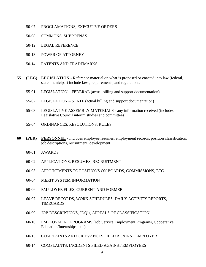- 50-07 PROCLAMATIONS, EXECUTIVE ORDERS
- 50-08 SUMMONS, SUBPOENAS
- 50-12 LEGAL REFERENCE
- 50-13 POWER OF ATTORNEY
- 50-14 PATENTS AND TRADEMARKS
- **55 (LEG) LEGISLATION** Reference material on what is proposed or enacted into law (federal, state, municipal) include laws, requirements, and regulations.
	- 55-01 LEGISLATION FEDERAL (actual billing and support documentation)
	- 55-02 LEGISLATION STATE (actual billing and support documentation)
	- 55-03 LEGISLATIVE ASSEMBLY MATERIALS any information received (includes Legislative Council interim studies and committees)
	- 55-04 ORDINANCES, RESOLUTIONS, RULES
- **60 (PER) PERSONNEL** Includes employee resumes, employment records, position classification, job descriptions, recruitment, development.
	- 60-01 AWARDS
	- 60-02 APPLICATIONS, RESUMES, RECRUITMENT
	- 60-03 APPOINTMENTS TO POSITIONS ON BOARDS, COMMISSIONS, ETC
	- 60-04 MERIT SYSTEM INFORMATION
	- 60-06 EMPLOYEE FILES, CURRENT AND FORMER
	- 60-07 LEAVE RECORDS, WORK SCHEDULES, DAILY ACTIVITY REPORTS, TIMECARDS
	- 60-09 JOB DESCRIPTIONS, JDQ's, APPEALS OF CLASSIFICATION
	- 60-10 EMPLOYMENT PROGRAMS (Job Service Employment Programs, Cooperative Education/Internships, etc.)
	- 60-13 COMPLAINTS AND GRIEVANCES FILED AGAINST EMPLOYER
	- 60-14 COMPLAINTS, INCIDENTS FILED AGAINST EMPLOYEES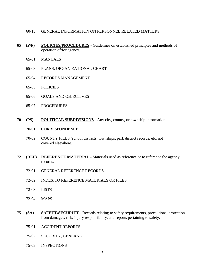- 60-15 GENERAL INFORMATION ON PERSONNEL RELATED MATTERS
- **65 (P/P) POLICIES/PROCEDURES** Guidelines on established principles and methods of operation of/for agency.
	- 65-01 MANUALS
	- 65-03 PLANS, ORGANIZATIONAL CHART
	- 65-04 RECORDS MANAGEMENT
	- 65-05 POLICIES
	- 65-06 GOALS AND OBJECTIVES
	- 65-07 PROCEDURES
- **70 (PS) POLITICAL SUBDIVISIONS** Any city, county, or township information.
	- 70-01 CORRESPONDENCE
	- 70-02 COUNTY FILES (school districts, townships, park district records, etc. not covered elsewhere)
- **72 (REF) REFERENCE MATERIAL** Materials used as reference or to reference the agency records.
	- 72-01 GENERAL REFERENCE RECORDS
	- 72-02 INDEX TO REFERENCE MATERIALS OR FILES
	- 72-03 LISTS
	- 72-04 MAPS
- **75 (SA) SAFETY/SECURITY** Records relating to safety requirements, precautions, protection from damages, risk, injury responsibility, and reports pertaining to safety.
	- 75-01 ACCIDENT REPORTS
	- 75-02 SECURITY, GENERAL
	- 75-03 INSPECTIONS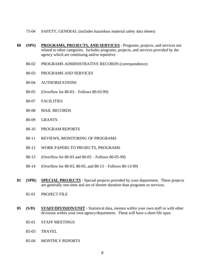- 75-04 SAFETY, GENERAL (includes hazardous material safety data sheets)
- **80 (SPS) PROGRAMS, PROJECTS, AND SERVICES** Programs, projects, and services not related to other categories. Includes programs, projects, and services provided by the agency which are continuing and/or repetitive.
	- 80-02 PROGRAMS ADMINISTRATIVE RECORDS (correspondence)
	- 80-03 PROGRAMS AND SERVICES
	- 80-04 AUTHORIZATIONS
	- 80-05 (Overflow for 80-03 Follows 80-03-99)
	- 80-07 FACILITIES
	- 80-08 MAIL RECORDS
	- 80-09 GRANTS
	- 80-10 PROGRAM REPORTS
	- 80-11 REVIEWS, MONITORING OF PROGRAMS
	- 80-12 WORK PAPERS TO PROJECTS, PROGRAMS
	- 80-13 (Overflow for 80-03 and 80-05 Follows 80-05-99)
	- 80-14 (Overflow for 80-03, 80-05, and 80-13 Follows 80-13-99)
- **81 (SPR) SPECIAL PROJECTS** Special projects provided by your department. These projects are generally one-time and are of shorter duration than programs or services.
	- 81-01 PROJECT FILE
- **85 (S/D) STAFF/DIVISION/UNIT** Statistical data, memos within your own staff or with other divisions within your own agency/department. These will have a short life span.
	- 85-01 STAFF MEETINGS
	- 85-03 TRAVEL
	- 85-04 MONTHLY REPORTS